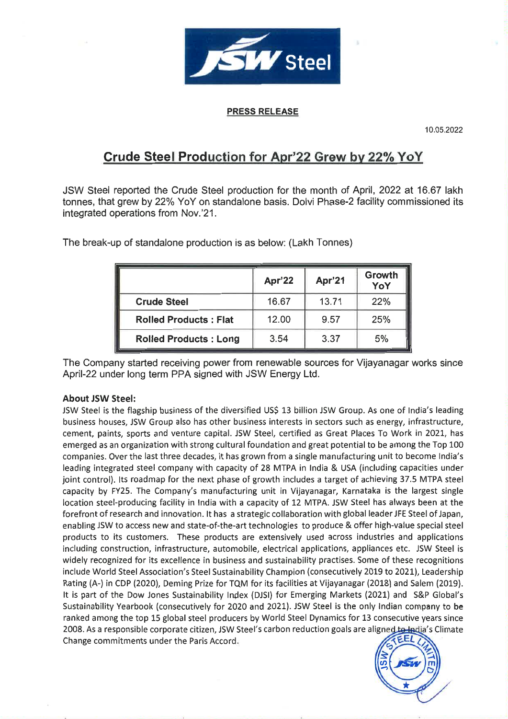

## **PRESS RELEASE**

10.05.2022

# Crude Steel Production for Apr'22 Grew by 22% YoY

JSW Steel reported the Crude Steel production for the month of April, 2022 at 16.67 lakh tonnes, that grew by 22% YoY on standalone basis. Dolvi Phase-2 facility commissioned its integrated operations from Nov.'21.

|                              | <b>Apr'22</b> | Apr'21 | Growth<br>YoY |
|------------------------------|---------------|--------|---------------|
| <b>Crude Steel</b>           | 16.67         | 13.71  | 22%           |
| <b>Rolled Products: Flat</b> | 12.00         | 9.57   | 25%           |
| <b>Rolled Products: Long</b> | 3.54          | 3.37   | 5%            |

The break-up of standalone production is as below: (Lakh Tonnes)

The Company started receiving power from renewable sources for Vijavanagar works since April-22 under long term PPA signed with JSW Energy Ltd.

### **About JSW Steel:**

JSW Steel is the flagship business of the diversified US\$ 13 billion JSW Group. As one of India's leading business houses, JSW Group also has other business interests in sectors such as energy, infrastructure. cement, paints, sports and venture capital. JSW Steel, certified as Great Places To Work in 2021, has emerged as an organization with strong cultural foundation and great potential to be among the Top 100 companies. Over the last three decades, it has grown from a single manufacturing unit to become India's leading integrated steel company with capacity of 28 MTPA in India & USA (including capacities under joint control). Its roadmap for the next phase of growth includes a target of achieving 37.5 MTPA steel capacity by FY25. The Company's manufacturing unit in Vilayanagar, Karnataka is the largest single location steel-producing facility in India with a capacity of 12 MTPA. JSW Steel has always been at the forefront of research and innovation. It has a strategic collaboration with global leader JFE Steel of Japan, enabling JSW to access new and state-of-the-art technologies to produce & offer high-value special steel products to its customers. These products are extensively used across industries and applications including construction, infrastructure, automobile, electrical applications, appliances etc. JSW Steel is widely recognized for its excellence in business and sustainability practises. Some of these recognitions include World Steel Association's Steel Sustainability Champion (consecutively 2019 to 2021), Leadership Rating (A-) in CDP (2020), Deming Prize for TQM for its facilities at Vijayanagar (2018) and Salem (2019). It is part of the Dow Jones Sustainability Index (DJSI) for Emerging Markets (2021) and S&P Global's Sustainability Yearbook (consecutively for 2020 and 2021). JSW Steel is the only Indian company to be ranked among the top 15 global steel producers by World Steel Dynamics for 13 consecutive years since 2008. As a responsible corporate citizen, JSW Steel's carbon reduction goals are aligned to ladia's Climate Change commitments under the Paris Accord.